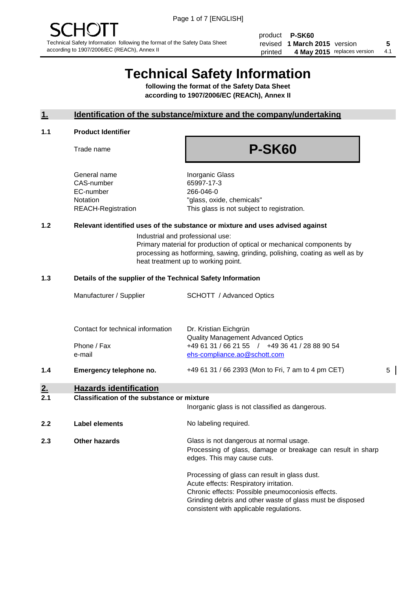product **P-SK60** revised **5 1 March 2015** version printed 4 May 2015 replaces version 4.1

# **Technical Safety Information**

**following the format of the Safety Data Sheet according to 1907/2006/EC (REACh), Annex II**

#### **1. Identification of the substance/mixture and the company/undertaking**

#### **1.1 Product Identifier**

Trade name

# **P-SK60**

General name **Inorganic Glass** CAS-number 65997-17-3 EC-number 266-046-0

Notation "glass, oxide, chemicals" REACH-Registration This glass is not subject to registration.

#### **1.2 Relevant identified uses of the substance or mixture and uses advised against**

Industrial and professional use: Primary material for production of optical or mechanical components by processing as hotforming, sawing, grinding, polishing, coating as well as by heat treatment up to working point.

#### **1.3 Details of the supplier of the Technical Safety Information**

|     | Manufacturer / Supplier                                               | SCHOTT / Advanced Optics                                                       |   |
|-----|-----------------------------------------------------------------------|--------------------------------------------------------------------------------|---|
|     | Contact for technical information                                     | Dr. Kristian Eichgrün<br><b>Quality Management Advanced Optics</b>             |   |
|     | Phone / Fax<br>e-mail                                                 | +49 61 31 / 66 21 55 / +49 36 41 / 28 88 90 54<br>ehs-compliance.ao@schott.com |   |
| 1.4 | Emergency telephone no.                                               | +49 61 31 / 66 2393 (Mon to Fri, 7 am to 4 pm CET)                             | 5 |
| 2.  | <b>Hazards identification</b>                                         |                                                                                |   |
| . . | $\mathbf{r}$ , and $\mathbf{r}$ , and $\mathbf{r}$ , and $\mathbf{r}$ |                                                                                |   |

#### **2.1 Classification of the substance or mixture**

| <u>.</u> | Classincation of the substance of imature | Inorganic glass is not classified as dangerous.                                                                                                                                                                                                      |
|----------|-------------------------------------------|------------------------------------------------------------------------------------------------------------------------------------------------------------------------------------------------------------------------------------------------------|
| 2.2      | Label elements                            | No labeling required.                                                                                                                                                                                                                                |
| 2.3      | <b>Other hazards</b>                      | Glass is not dangerous at normal usage.<br>Processing of glass, damage or breakage can result in sharp<br>edges. This may cause cuts.                                                                                                                |
|          |                                           | Processing of glass can result in glass dust.<br>Acute effects: Respiratory irritation.<br>Chronic effects: Possible pneumoconiosis effects.<br>Grinding debris and other waste of glass must be disposed<br>consistent with applicable regulations. |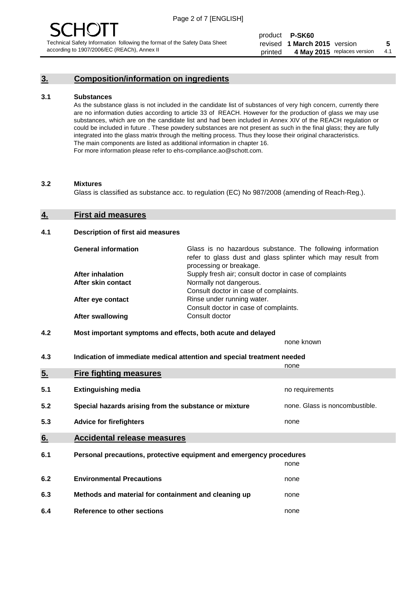### **3. Composition/information on ingredients**

#### **3.1 Substances**

As the substance glass is not included in the candidate list of substances of very high concern, currently there are no information duties according to article 33 of REACH. However for the production of glass we may use substances, which are on the candidate list and had been included in Annex XIV of the REACH regulation or could be included in future . These powdery substances are not present as such in the final glass; they are fully integrated into the glass matrix through the melting process. Thus they loose their original characteristics. The main components are listed as additional information in chapter 16. For more information please refer to ehs-compliance.ao@schott.com.

#### **3.2 Mixtures**

Glass is classified as substance acc. to regulation (EC) No 987/2008 (amending of Reach-Reg.).

#### **4. First aid measures**

#### **4.1 Description of first aid measures**

| <b>General information</b> | Glass is no hazardous substance. The following information<br>refer to glass dust and glass splinter which may result from<br>processing or breakage. |
|----------------------------|-------------------------------------------------------------------------------------------------------------------------------------------------------|
| <b>After inhalation</b>    | Supply fresh air; consult doctor in case of complaints                                                                                                |
| After skin contact         | Normally not dangerous.                                                                                                                               |
|                            | Consult doctor in case of complaints.                                                                                                                 |
| After eye contact          | Rinse under running water.                                                                                                                            |
|                            | Consult doctor in case of complaints.                                                                                                                 |
| <b>After swallowing</b>    | Consult doctor                                                                                                                                        |

#### **4.2 Most important symptoms and effects, both acute and delayed**

none known

**4.3 Indication of immediate medical attention and special treatment needed** 

|     |                                                                     | none                           |
|-----|---------------------------------------------------------------------|--------------------------------|
| 5.  | <b>Fire fighting measures</b>                                       |                                |
| 5.1 | <b>Extinguishing media</b>                                          | no requirements                |
| 5.2 | Special hazards arising from the substance or mixture               | none. Glass is noncombustible. |
| 5.3 | <b>Advice for firefighters</b>                                      | none                           |
| 6.  | <b>Accidental release measures</b>                                  |                                |
| 6.1 | Personal precautions, protective equipment and emergency procedures |                                |
|     |                                                                     | none                           |
| 6.2 | <b>Environmental Precautions</b>                                    | none                           |
| 6.3 | Methods and material for containment and cleaning up                | none                           |
| 6.4 | Reference to other sections                                         | none                           |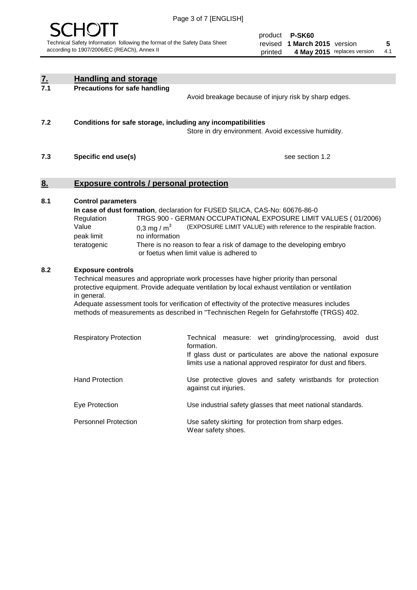

product **P-SK60** revised **5 1 March 2015** version printed 4 May 2015 replaces version 4.1

| <u>7.</u><br>7.1 | <b>Handling and storage</b>                                                                                      |                                                                                                                                                                                                                                                                                                                                                                                     |
|------------------|------------------------------------------------------------------------------------------------------------------|-------------------------------------------------------------------------------------------------------------------------------------------------------------------------------------------------------------------------------------------------------------------------------------------------------------------------------------------------------------------------------------|
|                  | <b>Precautions for safe handling</b>                                                                             | Avoid breakage because of injury risk by sharp edges.                                                                                                                                                                                                                                                                                                                               |
| 7.2              | Conditions for safe storage, including any incompatibilities                                                     | Store in dry environment. Avoid excessive humidity.                                                                                                                                                                                                                                                                                                                                 |
| 7.3              | Specific end use(s)                                                                                              | see section 1.2                                                                                                                                                                                                                                                                                                                                                                     |
| <u>8.</u>        | <b>Exposure controls / personal protection</b>                                                                   |                                                                                                                                                                                                                                                                                                                                                                                     |
| 8.1              | <b>Control parameters</b><br>Regulation<br>Value<br>0,3 mg / $m3$<br>peak limit<br>no information<br>teratogenic | In case of dust formation, declaration for FUSED SILICA, CAS-No: 60676-86-0<br>TRGS 900 - GERMAN OCCUPATIONAL EXPOSURE LIMIT VALUES (01/2006)<br>(EXPOSURE LIMIT VALUE) with reference to the respirable fraction.<br>There is no reason to fear a risk of damage to the developing embryo<br>or foetus when limit value is adhered to                                              |
| 8.2              | <b>Exposure controls</b><br>in general.                                                                          | Technical measures and appropriate work processes have higher priority than personal<br>protective equipment. Provide adequate ventilation by local exhaust ventilation or ventilation<br>Adequate assessment tools for verification of effectivity of the protective measures includes<br>methods of measurements as described in "Technischen Regeln for Gefahrstoffe (TRGS) 402. |
|                  | <b>Respiratory Protection</b>                                                                                    | Technical measure: wet grinding/processing, avoid dust<br>formation.<br>If glass dust or particulates are above the national exposure<br>limits use a national approved respirator for dust and fibers.                                                                                                                                                                             |
|                  | <b>Hand Protection</b>                                                                                           | Use protective gloves and safety wristbands for protection<br>against cut injuries.                                                                                                                                                                                                                                                                                                 |
|                  | Eye Protection                                                                                                   | Use industrial safety glasses that meet national standards.                                                                                                                                                                                                                                                                                                                         |
|                  | <b>Personnel Protection</b>                                                                                      | Use safety skirting for protection from sharp edges.<br>Wear safety shoes.                                                                                                                                                                                                                                                                                                          |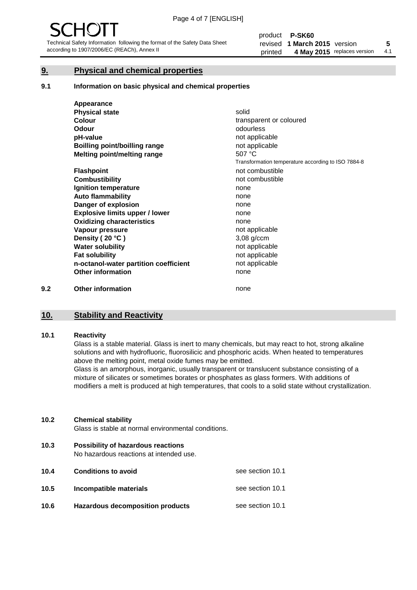### **9. Physical and chemical properties**

#### **9.1 Information on basic physical and chemical properties**

|     | Appearance                            |                                                    |
|-----|---------------------------------------|----------------------------------------------------|
|     | <b>Physical state</b>                 | solid                                              |
|     | <b>Colour</b>                         | transparent or coloured                            |
|     | <b>Odour</b>                          | odourless                                          |
|     | pH-value                              | not applicable                                     |
|     | Boilling point/boilling range         | not applicable                                     |
|     | Melting point/melting range           | 507 °C                                             |
|     |                                       | Transformation temperature according to ISO 7884-8 |
|     | <b>Flashpoint</b>                     | not combustible                                    |
|     | <b>Combustibility</b>                 | not combustible                                    |
|     | Ignition temperature                  | none                                               |
|     | <b>Auto flammability</b>              | none                                               |
|     | Danger of explosion                   | none                                               |
|     | <b>Explosive limits upper / lower</b> | none                                               |
|     | <b>Oxidizing characteristics</b>      | none                                               |
|     | Vapour pressure                       | not applicable                                     |
|     | Density (20 °C)                       | $3,08$ g/ccm                                       |
|     | <b>Water solubility</b>               | not applicable                                     |
|     | <b>Fat solubility</b>                 | not applicable                                     |
|     | n-octanol-water partition coefficient | not applicable                                     |
|     | <b>Other information</b>              | none                                               |
| 9.2 | <b>Other information</b>              | none                                               |

## **10. Stability and Reactivity**

#### **10.1 Reactivity**

Glass is a stable material. Glass is inert to many chemicals, but may react to hot, strong alkaline solutions and with hydrofluoric, fluorosilicic and phosphoric acids. When heated to temperatures above the melting point, metal oxide fumes may be emitted.

Glass is an amorphous, inorganic, usually transparent or translucent substance consisting of a mixture of silicates or sometimes borates or phosphates as glass formers. With additions of modifiers a melt is produced at high temperatures, that cools to a solid state without crystallization.

#### **10.2 Chemical stability**

Glass is stable at normal environmental conditions.

**10.3 Possibility of hazardous reactions** 

No hazardous reactions at intended use.

| 10.4 | <b>Conditions to avoid</b>       | see section 10.1 |
|------|----------------------------------|------------------|
| 10.5 | Incompatible materials           | see section 10.1 |
| 10.6 | Hazardous decomposition products | see section 10.1 |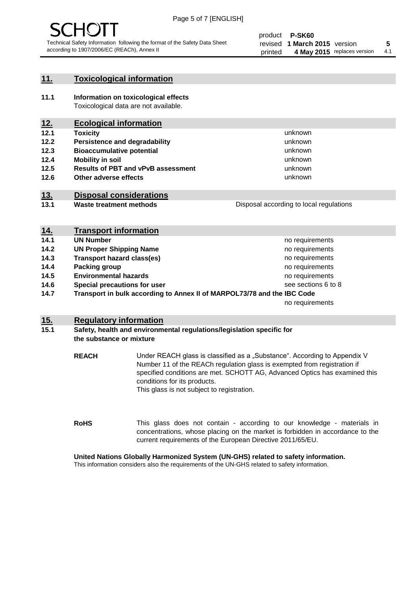

#### **11. Toxicological information**

**11.1 Information on toxicological effects** Toxicological data are not available.

### **12. Ecological information**

- **12.1 Toxicity**
- **12.2 Persistence and degradability**
- **12.3 Bioaccumulative potential**
- **12.4 Mobility in soil**
- **12.5 Results of PBT and vPvB assessment**
- **12.6 Other adverse effects**

#### **13. Disposal considerations**

**13.1 Waste treatment methods**

Disposal according to local regulations

unknown unknown unknown unknown

unknown unknown

| <u>14.</u> | <b>Transport information</b>                                            |                     |
|------------|-------------------------------------------------------------------------|---------------------|
| 14.1       | <b>UN Number</b>                                                        | no requirements     |
| 14.2       | <b>UN Proper Shipping Name</b>                                          | no requirements     |
| 14.3       | <b>Transport hazard class(es)</b>                                       | no requirements     |
| 14.4       | Packing group                                                           | no requirements     |
| 14.5       | <b>Environmental hazards</b>                                            | no requirements     |
| 14.6       | Special precautions for user                                            | see sections 6 to 8 |
| 14.7       | Transport in bulk according to Annex II of MARPOL73/78 and the IBC Code |                     |
|            |                                                                         | no requirements     |

#### **15. Regulatory information**

#### **15.1 Safety, health and environmental regulations/legislation specific for the substance or mixture**

**REACH** Under REACH glass is classified as a "Substance". According to Appendix V Number 11 of the REACh regulation glass is exempted from registration if specified conditions are met. SCHOTT AG, Advanced Optics has examined this conditions for its products. This glass is not subject to registration.

**RoHS** This glass does not contain - according to our knowledge - materials in concentrations, whose placing on the market is forbidden in accordance to the current requirements of the European Directive 2011/65/EU.

#### **United Nations Globally Harmonized System (UN-GHS) related to safety information.**

This information considers also the requirements of the UN-GHS related to safety information.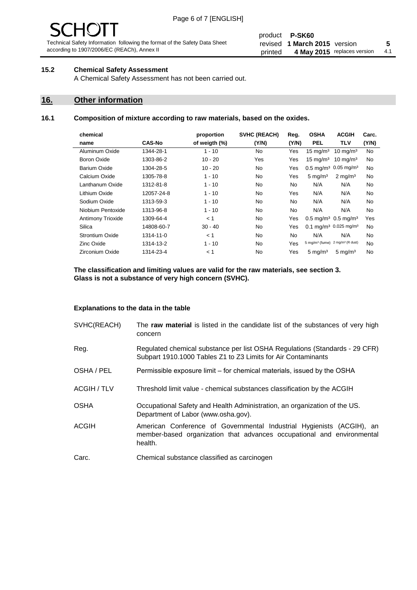# 1( )

Technical Safety Information following the format of the Safety Data Sheet according to 1907/2006/EC (REACh), Annex II

#### product **P-SK60** revised **5 1 March 2015** version printed 4 May 2015 replaces version 4.1

#### **15.2 Chemical Safety Assessment**

A Chemical Safety Assessment has not been carried out.

#### **16. Other information**

#### **16.1 Composition of mixture according to raw materials, based on the oxides.**

| chemical                 |               | proportion    | <b>SVHC (REACH)</b> | Reg.      | <b>OSHA</b>                                   | <b>ACGIH</b>                 | Carc. |
|--------------------------|---------------|---------------|---------------------|-----------|-----------------------------------------------|------------------------------|-------|
| name                     | <b>CAS-No</b> | of weigth (%) | (Y/N)               | (Y/N)     | <b>PEL</b>                                    | TLV                          | (Y/N) |
| Aluminum Oxide           | 1344-28-1     | $1 - 10$      | No.                 | Yes       | $15 \text{ mg/m}^3$                           | $10 \text{ mg/m}^3$          | No    |
| Boron Oxide              | 1303-86-2     | $10 - 20$     | Yes                 | Yes       | $15 \text{ mg/m}^3$                           | $10 \text{ mg/m}^3$          | No    |
| Barium Oxide             | 1304-28-5     | $10 - 20$     | <b>No</b>           | Yes       | $0.5 \text{ mg/m}^3$ 0.05 mg/m <sup>3</sup>   |                              | No    |
| Calcium Oxide            | 1305-78-8     | $1 - 10$      | No.                 | Yes       | $5 \text{ mg/m}^3$                            | $2 \text{ mg/m}^3$           | No    |
| Lanthanum Oxide          | 1312-81-8     | $1 - 10$      | No.                 | <b>No</b> | N/A                                           | N/A                          | No    |
| Lithium Oxide            | 12057-24-8    | $1 - 10$      | No.                 | Yes       | N/A                                           | N/A                          | No    |
| Sodium Oxide             | 1313-59-3     | $1 - 10$      | No.                 | No.       | N/A                                           | N/A                          | No    |
| Niobium Pentoxide        | 1313-96-8     | $1 - 10$      | No.                 | <b>No</b> | N/A                                           | N/A                          | No    |
| <b>Antimony Trioxide</b> | 1309-64-4     | < 1           | No.                 | Yes       | $0.5 \,\mathrm{mq/m^3}$ 0.5 mg/m <sup>3</sup> |                              | Yes   |
| Silica                   | 14808-60-7    | $30 - 40$     | No.                 | Yes       | 0.1 mg/m <sup>3</sup> 0.025 mg/m <sup>3</sup> |                              | No    |
| Strontium Oxide          | 1314-11-0     | < 1           | <b>No</b>           | <b>No</b> | N/A                                           | N/A                          | No    |
| <b>Zinc Oxide</b>        | 1314-13-2     | $1 - 10$      | N <sub>o</sub>      | Yes       | 5 mg/m <sup>3</sup> (fume)                    | 2 mg/m <sup>3</sup> (R dust) | No    |
| <b>Zirconium Oxide</b>   | 1314-23-4     | < 1           | No.                 | Yes       | 5 mg/m <sup>3</sup>                           | $5 \text{ mg/m}^3$           | No    |
|                          |               |               |                     |           |                                               |                              |       |

**The classification and limiting values are valid for the raw materials, see section 3. Glass is not a substance of very high concern (SVHC).**

#### **Explanations to the data in the table**

| SVHC(REACH)        | The raw material is listed in the candidate list of the substances of very high<br>concern                                                                 |
|--------------------|------------------------------------------------------------------------------------------------------------------------------------------------------------|
| Reg.               | Regulated chemical substance per list OSHA Regulations (Standards - 29 CFR)<br>Subpart 1910.1000 Tables Z1 to Z3 Limits for Air Contaminants               |
| OSHA / PEL         | Permissible exposure limit – for chemical materials, issued by the OSHA                                                                                    |
| <b>ACGIH / TLV</b> | Threshold limit value - chemical substances classification by the ACGIH                                                                                    |
| <b>OSHA</b>        | Occupational Safety and Health Administration, an organization of the US.<br>Department of Labor (www.osha.gov).                                           |
| <b>ACGIH</b>       | American Conference of Governmental Industrial Hygienists (ACGIH), an<br>member-based organization that advances occupational and environmental<br>health. |
| Carc.              | Chemical substance classified as carcinogen                                                                                                                |